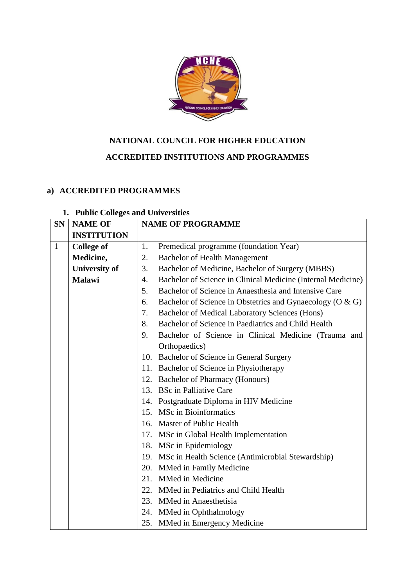

## **NATIONAL COUNCIL FOR HIGHER EDUCATION**

## **ACCREDITED INSTITUTIONS AND PROGRAMMES**

## **a) ACCREDITED PROGRAMMES**

## **1. Public Colleges and Universities**

| <b>SN</b>    | <b>NAME OF</b>       | <b>NAME OF PROGRAMME</b> |                                                              |
|--------------|----------------------|--------------------------|--------------------------------------------------------------|
|              | <b>INSTITUTION</b>   |                          |                                                              |
| $\mathbf{1}$ | <b>College of</b>    | 1.                       | Premedical programme (foundation Year)                       |
|              | Medicine,            | 2.                       | <b>Bachelor of Health Management</b>                         |
|              | <b>University of</b> | 3.                       | Bachelor of Medicine, Bachelor of Surgery (MBBS)             |
|              | <b>Malawi</b>        | 4.                       | Bachelor of Science in Clinical Medicine (Internal Medicine) |
|              |                      | 5.                       | Bachelor of Science in Anaesthesia and Intensive Care        |
|              |                      | 6.                       | Bachelor of Science in Obstetrics and Gynaecology (O & G)    |
|              |                      | 7.                       | Bachelor of Medical Laboratory Sciences (Hons)               |
|              |                      | 8.                       | Bachelor of Science in Paediatrics and Child Health          |
|              |                      | 9.                       | Bachelor of Science in Clinical Medicine (Trauma and         |
|              |                      |                          | Orthopaedics)                                                |
|              |                      |                          | 10. Bachelor of Science in General Surgery                   |
|              |                      |                          | 11. Bachelor of Science in Physiotherapy                     |
|              |                      |                          | 12. Bachelor of Pharmacy (Honours)                           |
|              |                      |                          | 13. BSc in Palliative Care                                   |
|              |                      |                          | 14. Postgraduate Diploma in HIV Medicine                     |
|              |                      |                          | 15. MSc in Bioinformatics                                    |
|              |                      |                          | 16. Master of Public Health                                  |
|              |                      |                          | 17. MSc in Global Health Implementation                      |
|              |                      |                          | 18. MSc in Epidemiology                                      |
|              |                      |                          | 19. MSc in Health Science (Antimicrobial Stewardship)        |
|              |                      |                          | 20. MMed in Family Medicine                                  |
|              |                      |                          | 21. MMed in Medicine                                         |
|              |                      |                          | 22. MMed in Pediatrics and Child Health                      |
|              |                      |                          | 23. MMed in Anaesthetisia                                    |
|              |                      |                          | 24. MMed in Ophthalmology                                    |
|              |                      |                          | 25. MMed in Emergency Medicine                               |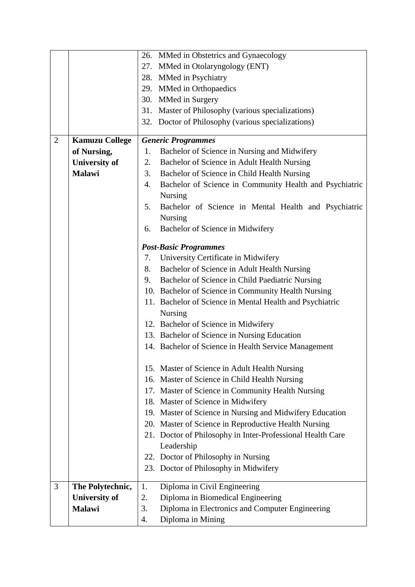|                |                       |    | 26. MMed in Obstetrics and Gynaecology                     |
|----------------|-----------------------|----|------------------------------------------------------------|
|                |                       |    | 27. MMed in Otolaryngology (ENT)                           |
|                |                       |    | 28. MMed in Psychiatry                                     |
|                |                       |    | 29. MMed in Orthopaedics                                   |
|                |                       |    | 30. MMed in Surgery                                        |
|                |                       |    | 31. Master of Philosophy (various specializations)         |
|                |                       |    | 32. Doctor of Philosophy (various specializations)         |
|                |                       |    |                                                            |
| $\overline{2}$ | <b>Kamuzu College</b> |    | <b>Generic Programmes</b>                                  |
|                | of Nursing,           | 1. | Bachelor of Science in Nursing and Midwifery               |
|                | <b>University of</b>  | 2. | Bachelor of Science in Adult Health Nursing                |
|                | <b>Malawi</b>         | 3. | Bachelor of Science in Child Health Nursing                |
|                |                       | 4. | Bachelor of Science in Community Health and Psychiatric    |
|                |                       |    | <b>Nursing</b>                                             |
|                |                       | 5. | Bachelor of Science in Mental Health and Psychiatric       |
|                |                       |    | <b>Nursing</b>                                             |
|                |                       | 6. | Bachelor of Science in Midwifery                           |
|                |                       |    |                                                            |
|                |                       |    | <b>Post-Basic Programmes</b>                               |
|                |                       | 7. | University Certificate in Midwifery                        |
|                |                       | 8. | Bachelor of Science in Adult Health Nursing                |
|                |                       | 9. | Bachelor of Science in Child Paediatric Nursing            |
|                |                       |    | 10. Bachelor of Science in Community Health Nursing        |
|                |                       |    | 11. Bachelor of Science in Mental Health and Psychiatric   |
|                |                       |    | <b>Nursing</b>                                             |
|                |                       |    | 12. Bachelor of Science in Midwifery                       |
|                |                       |    | 13. Bachelor of Science in Nursing Education               |
|                |                       |    | 14. Bachelor of Science in Health Service Management       |
|                |                       |    |                                                            |
|                |                       |    | 15. Master of Science in Adult Health Nursing              |
|                |                       |    | 16. Master of Science in Child Health Nursing              |
|                |                       |    | 17. Master of Science in Community Health Nursing          |
|                |                       |    | 18. Master of Science in Midwifery                         |
|                |                       |    | 19. Master of Science in Nursing and Midwifery Education   |
|                |                       |    | 20. Master of Science in Reproductive Health Nursing       |
|                |                       |    | 21. Doctor of Philosophy in Inter-Professional Health Care |
|                |                       |    | Leadership                                                 |
|                |                       |    | 22. Doctor of Philosophy in Nursing                        |
|                |                       |    | 23. Doctor of Philosophy in Midwifery                      |
| 3              | The Polytechnic,      | 1. | Diploma in Civil Engineering                               |
|                | <b>University of</b>  | 2. | Diploma in Biomedical Engineering                          |
|                | Malawi                | 3. | Diploma in Electronics and Computer Engineering            |
|                |                       |    |                                                            |
|                |                       | 4. | Diploma in Mining                                          |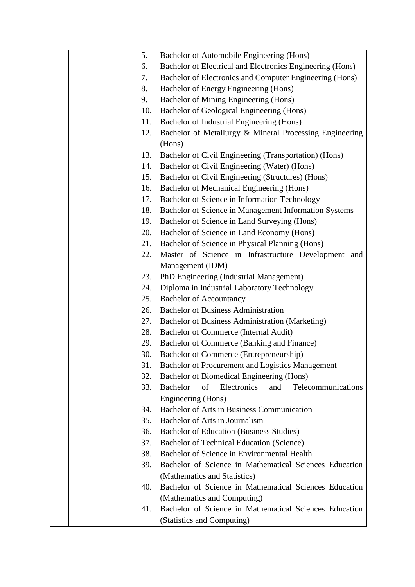|  | 5.  | Bachelor of Automobile Engineering (Hons)                         |
|--|-----|-------------------------------------------------------------------|
|  | 6.  | Bachelor of Electrical and Electronics Engineering (Hons)         |
|  | 7.  | Bachelor of Electronics and Computer Engineering (Hons)           |
|  | 8.  | Bachelor of Energy Engineering (Hons)                             |
|  | 9.  | Bachelor of Mining Engineering (Hons)                             |
|  | 10. | Bachelor of Geological Engineering (Hons)                         |
|  | 11. | Bachelor of Industrial Engineering (Hons)                         |
|  | 12. | Bachelor of Metallurgy & Mineral Processing Engineering<br>(Hons) |
|  | 13. | Bachelor of Civil Engineering (Transportation) (Hons)             |
|  | 14. | Bachelor of Civil Engineering (Water) (Hons)                      |
|  | 15. | Bachelor of Civil Engineering (Structures) (Hons)                 |
|  | 16. | Bachelor of Mechanical Engineering (Hons)                         |
|  | 17. | Bachelor of Science in Information Technology                     |
|  | 18. | Bachelor of Science in Management Information Systems             |
|  | 19. |                                                                   |
|  | 20. | Bachelor of Science in Land Surveying (Hons)                      |
|  | 21. | Bachelor of Science in Land Economy (Hons)                        |
|  | 22. | Bachelor of Science in Physical Planning (Hons)                   |
|  |     | Master of Science in Infrastructure Development and               |
|  | 23. | Management (IDM)                                                  |
|  | 24. | PhD Engineering (Industrial Management)                           |
|  |     | Diploma in Industrial Laboratory Technology                       |
|  | 25. | <b>Bachelor of Accountancy</b>                                    |
|  | 26. | <b>Bachelor of Business Administration</b>                        |
|  | 27. | Bachelor of Business Administration (Marketing)                   |
|  | 28. | Bachelor of Commerce (Internal Audit)                             |
|  | 29. | Bachelor of Commerce (Banking and Finance)                        |
|  | 30. | Bachelor of Commerce (Entrepreneurship)                           |
|  | 31. | Bachelor of Procurement and Logistics Management                  |
|  | 32. | Bachelor of Biomedical Engineering (Hons)                         |
|  | 33. | <b>Bachelor</b><br>of<br>Electronics<br>and<br>Telecommunications |
|  |     | Engineering (Hons)                                                |
|  | 34. | Bachelor of Arts in Business Communication                        |
|  | 35. | Bachelor of Arts in Journalism                                    |
|  | 36. | Bachelor of Education (Business Studies)                          |
|  | 37. | <b>Bachelor of Technical Education (Science)</b>                  |
|  | 38. | Bachelor of Science in Environmental Health                       |
|  | 39. | Bachelor of Science in Mathematical Sciences Education            |
|  |     | (Mathematics and Statistics)                                      |
|  | 40. | Bachelor of Science in Mathematical Sciences Education            |
|  |     | (Mathematics and Computing)                                       |
|  | 41. | Bachelor of Science in Mathematical Sciences Education            |
|  |     | (Statistics and Computing)                                        |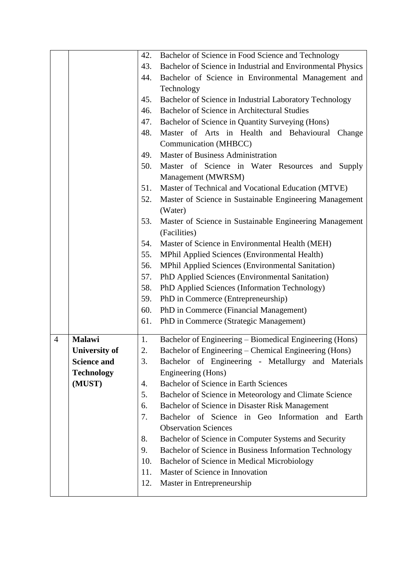|                |                      | 42.        | Bachelor of Science in Food Science and Technology                             |
|----------------|----------------------|------------|--------------------------------------------------------------------------------|
|                |                      | 43.        | Bachelor of Science in Industrial and Environmental Physics                    |
|                |                      | 44.        | Bachelor of Science in Environmental Management and                            |
|                |                      |            | Technology                                                                     |
|                |                      | 45.        | Bachelor of Science in Industrial Laboratory Technology                        |
|                |                      | 46.        | Bachelor of Science in Architectural Studies                                   |
|                |                      | 47.        | Bachelor of Science in Quantity Surveying (Hons)                               |
|                |                      | 48.        | Master of Arts in Health and Behavioural<br>Change                             |
|                |                      |            | Communication (MHBCC)                                                          |
|                |                      | 49.        | Master of Business Administration                                              |
|                |                      | 50.        | Master of Science in Water Resources and Supply                                |
|                |                      |            | Management (MWRSM)                                                             |
|                |                      | 51.        | Master of Technical and Vocational Education (MTVE)                            |
|                |                      | 52.        | Master of Science in Sustainable Engineering Management                        |
|                |                      |            | (Water)                                                                        |
|                |                      | 53.        | Master of Science in Sustainable Engineering Management                        |
|                |                      |            | (Facilities)                                                                   |
|                |                      | 54.        | Master of Science in Environmental Health (MEH)                                |
|                |                      | 55.        | MPhil Applied Sciences (Environmental Health)                                  |
|                |                      | 56.        | MPhil Applied Sciences (Environmental Sanitation)                              |
|                |                      | 57.        | PhD Applied Sciences (Environmental Sanitation)                                |
|                |                      | 58.        | PhD Applied Sciences (Information Technology)                                  |
|                |                      | 59.        | PhD in Commerce (Entrepreneurship)                                             |
|                |                      | 60.        | PhD in Commerce (Financial Management)                                         |
|                |                      | 61.        | PhD in Commerce (Strategic Management)                                         |
| $\overline{4}$ | <b>Malawi</b>        | 1.         | Bachelor of Engineering – Biomedical Engineering (Hons)                        |
|                | <b>University of</b> | 2.         | Bachelor of Engineering - Chemical Engineering (Hons)                          |
|                | <b>Science and</b>   | 3.         | Bachelor of Engineering - Metallurgy and Materials                             |
|                | <b>Technology</b>    |            | Engineering (Hons)                                                             |
|                | (MUST)               | 4.         | Bachelor of Science in Earth Sciences                                          |
|                |                      | 5.         | Bachelor of Science in Meteorology and Climate Science                         |
|                |                      | 6.         | Bachelor of Science in Disaster Risk Management                                |
|                |                      | 7.         | Bachelor of Science in Geo Information and Earth                               |
|                |                      |            | <b>Observation Sciences</b>                                                    |
|                |                      | 8.         | Bachelor of Science in Computer Systems and Security                           |
|                |                      | 9.         | Bachelor of Science in Business Information Technology                         |
|                |                      | 10.        | Bachelor of Science in Medical Microbiology<br>Master of Science in Innovation |
|                |                      | 11.<br>12. |                                                                                |
|                |                      |            | Master in Entrepreneurship                                                     |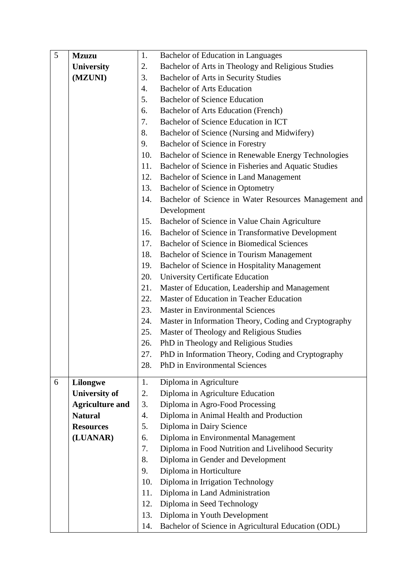| 5 | <b>Mzuzu</b>           | 1.  | Bachelor of Education in Languages                    |
|---|------------------------|-----|-------------------------------------------------------|
|   | <b>University</b>      | 2.  | Bachelor of Arts in Theology and Religious Studies    |
|   | (MZUNI)                | 3.  | Bachelor of Arts in Security Studies                  |
|   |                        | 4.  | <b>Bachelor of Arts Education</b>                     |
|   |                        | 5.  | <b>Bachelor of Science Education</b>                  |
|   |                        | 6.  | Bachelor of Arts Education (French)                   |
|   |                        | 7.  | Bachelor of Science Education in ICT                  |
|   |                        | 8.  | Bachelor of Science (Nursing and Midwifery)           |
|   |                        | 9.  | Bachelor of Science in Forestry                       |
|   |                        | 10. | Bachelor of Science in Renewable Energy Technologies  |
|   |                        | 11. | Bachelor of Science in Fisheries and Aquatic Studies  |
|   |                        | 12. | Bachelor of Science in Land Management                |
|   |                        | 13. | Bachelor of Science in Optometry                      |
|   |                        | 14. | Bachelor of Science in Water Resources Management and |
|   |                        |     | Development                                           |
|   |                        | 15. | Bachelor of Science in Value Chain Agriculture        |
|   |                        | 16. | Bachelor of Science in Transformative Development     |
|   |                        | 17. | Bachelor of Science in Biomedical Sciences            |
|   |                        | 18. | Bachelor of Science in Tourism Management             |
|   |                        | 19. | Bachelor of Science in Hospitality Management         |
|   |                        | 20. | University Certificate Education                      |
|   |                        | 21. | Master of Education, Leadership and Management        |
|   |                        | 22. | Master of Education in Teacher Education              |
|   |                        | 23. | <b>Master in Environmental Sciences</b>               |
|   |                        | 24. | Master in Information Theory, Coding and Cryptography |
|   |                        | 25. | Master of Theology and Religious Studies              |
|   |                        | 26. | PhD in Theology and Religious Studies                 |
|   |                        | 27. | PhD in Information Theory, Coding and Cryptography    |
|   |                        | 28. | PhD in Environmental Sciences                         |
| 6 | Lilongwe               | 1.  | Diploma in Agriculture                                |
|   | <b>University of</b>   | 2.  | Diploma in Agriculture Education                      |
|   | <b>Agriculture and</b> | 3.  | Diploma in Agro-Food Processing                       |
|   | <b>Natural</b>         | 4.  | Diploma in Animal Health and Production               |
|   | <b>Resources</b>       | 5.  | Diploma in Dairy Science                              |
|   | (LUANAR)               | 6.  | Diploma in Environmental Management                   |
|   |                        | 7.  | Diploma in Food Nutrition and Livelihood Security     |
|   |                        | 8.  | Diploma in Gender and Development                     |
|   |                        | 9.  | Diploma in Horticulture                               |
|   |                        | 10. | Diploma in Irrigation Technology                      |
|   |                        | 11. | Diploma in Land Administration                        |
|   |                        | 12. | Diploma in Seed Technology                            |
|   |                        | 13. | Diploma in Youth Development                          |
|   |                        | 14. | Bachelor of Science in Agricultural Education (ODL)   |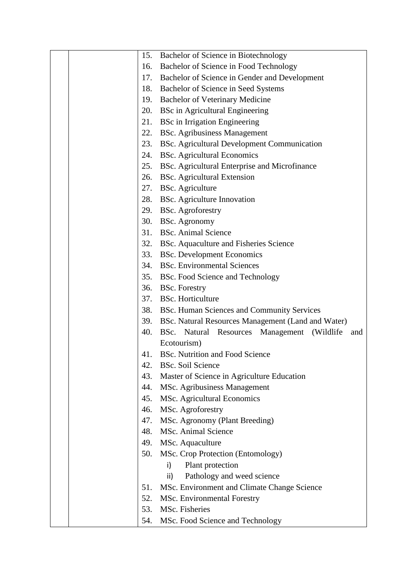|     | 15. Bachelor of Science in Biotechnology               |
|-----|--------------------------------------------------------|
| 16. | Bachelor of Science in Food Technology                 |
|     | 17. Bachelor of Science in Gender and Development      |
|     | 18. Bachelor of Science in Seed Systems                |
| 19. | <b>Bachelor of Veterinary Medicine</b>                 |
| 20. | <b>BSc</b> in Agricultural Engineering                 |
| 21. | <b>BSc</b> in Irrigation Engineering                   |
| 22. | <b>BSc.</b> Agribusiness Management                    |
| 23. | BSc. Agricultural Development Communication            |
| 24. | <b>BSc.</b> Agricultural Economics                     |
| 25. | BSc. Agricultural Enterprise and Microfinance          |
|     | 26. BSc. Agricultural Extension                        |
|     | 27. BSc. Agriculture                                   |
|     | 28. BSc. Agriculture Innovation                        |
|     | 29. BSc. Agroforestry                                  |
|     | 30. BSc. Agronomy                                      |
|     | 31. BSc. Animal Science                                |
|     | 32. BSc. Aquaculture and Fisheries Science             |
| 33. | <b>BSc.</b> Development Economics                      |
|     | 34. BSc. Environmental Sciences                        |
|     | 35. BSc. Food Science and Technology                   |
|     | 36. BSc. Forestry                                      |
|     | 37. BSc. Horticulture                                  |
| 38. | BSc. Human Sciences and Community Services             |
|     | 39. BSc. Natural Resources Management (Land and Water) |
| 40. | BSc. Natural Resources Management (Wildlife<br>and     |
|     | Ecotourism)                                            |
| 41. | <b>BSc.</b> Nutrition and Food Science                 |
| 42. | <b>BSc. Soil Science</b>                               |
| 43. | Master of Science in Agriculture Education             |
| 44. | MSc. Agribusiness Management                           |
| 45. | MSc. Agricultural Economics                            |
| 46. | MSc. Agroforestry                                      |
| 47. | MSc. Agronomy (Plant Breeding)                         |
| 48. | MSc. Animal Science                                    |
| 49. | MSc. Aquaculture                                       |
| 50. | MSc. Crop Protection (Entomology)                      |
|     | Plant protection<br>i)                                 |
|     | Pathology and weed science<br>ii)                      |
| 51. | MSc. Environment and Climate Change Science            |
| 52. | MSc. Environmental Forestry                            |
| 53. | MSc. Fisheries                                         |
| 54. | MSc. Food Science and Technology                       |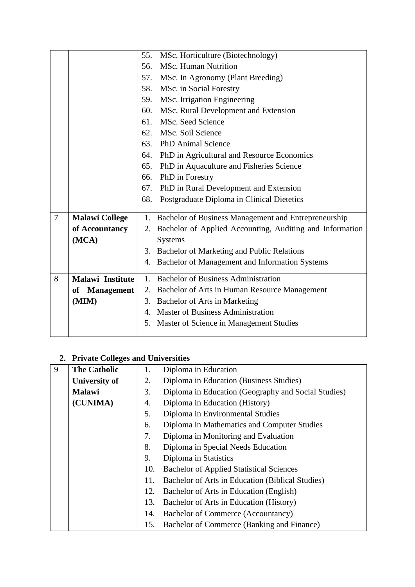|   |                       | 55. | MSc. Horticulture (Biotechnology)                        |
|---|-----------------------|-----|----------------------------------------------------------|
|   |                       | 56. | <b>MSc. Human Nutrition</b>                              |
|   |                       |     | 57. MSc. In Agronomy (Plant Breeding)                    |
|   |                       | 58. | MSc. in Social Forestry                                  |
|   |                       |     | 59. MSc. Irrigation Engineering                          |
|   |                       | 60. | MSc. Rural Development and Extension                     |
|   |                       |     | 61. MSc. Seed Science                                    |
|   |                       |     | 62. MSc. Soil Science                                    |
|   |                       |     | 63. PhD Animal Science                                   |
|   |                       |     | 64. PhD in Agricultural and Resource Economics           |
|   |                       | 65. | PhD in Aquaculture and Fisheries Science                 |
|   |                       | 66. | PhD in Forestry                                          |
|   |                       | 67. | PhD in Rural Development and Extension                   |
|   |                       | 68. | Postgraduate Diploma in Clinical Dietetics               |
|   |                       |     |                                                          |
| 7 | <b>Malawi College</b> | 1.  | Bachelor of Business Management and Entrepreneurship     |
|   | of Accountancy        | 2.  | Bachelor of Applied Accounting, Auditing and Information |
|   | (MCA)                 |     | <b>Systems</b>                                           |
|   |                       |     | 3. Bachelor of Marketing and Public Relations            |
|   |                       |     | 4. Bachelor of Management and Information Systems        |
|   |                       |     |                                                          |
| 8 | Malawi Institute      | 1.  | <b>Bachelor of Business Administration</b>               |
|   | of Management         |     | 2. Bachelor of Arts in Human Resource Management         |
|   | (MIM)                 |     | 3. Bachelor of Arts in Marketing                         |
|   |                       |     | <b>Master of Business Administration</b>                 |
|   |                       | 5.  | Master of Science in Management Studies                  |
|   |                       |     |                                                          |

# **2. Private Colleges and Universities**

| 9 | <b>The Catholic</b>  | 1.  | Diploma in Education                                |
|---|----------------------|-----|-----------------------------------------------------|
|   | <b>University of</b> | 2.  | Diploma in Education (Business Studies)             |
|   | <b>Malawi</b>        | 3.  | Diploma in Education (Geography and Social Studies) |
|   | (CUNIMA)             | 4.  | Diploma in Education (History)                      |
|   |                      | 5.  | Diploma in Environmental Studies                    |
|   |                      | 6.  | Diploma in Mathematics and Computer Studies         |
|   |                      | 7.  | Diploma in Monitoring and Evaluation                |
|   |                      | 8.  | Diploma in Special Needs Education                  |
|   |                      | 9.  | Diploma in Statistics                               |
|   |                      | 10. | <b>Bachelor of Applied Statistical Sciences</b>     |
|   |                      | 11. | Bachelor of Arts in Education (Biblical Studies)    |
|   |                      | 12. | Bachelor of Arts in Education (English)             |
|   |                      | 13. | Bachelor of Arts in Education (History)             |
|   |                      | 14. | <b>Bachelor of Commerce (Accountancy)</b>           |
|   |                      | 15. | Bachelor of Commerce (Banking and Finance)          |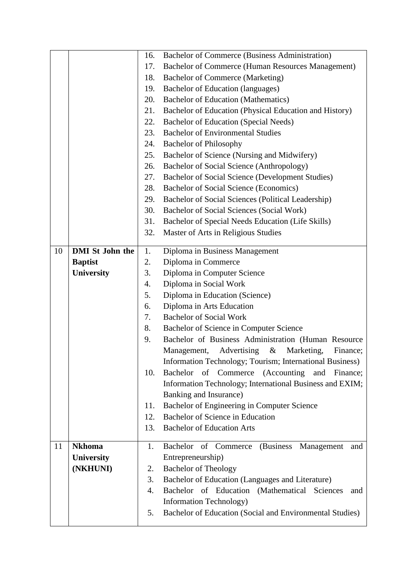|    |                        | 16. | <b>Bachelor of Commerce (Business Administration)</b>        |
|----|------------------------|-----|--------------------------------------------------------------|
|    |                        | 17. | Bachelor of Commerce (Human Resources Management)            |
|    |                        | 18. | Bachelor of Commerce (Marketing)                             |
|    |                        | 19. | Bachelor of Education (languages)                            |
|    |                        | 20. | <b>Bachelor of Education (Mathematics)</b>                   |
|    |                        | 21. | Bachelor of Education (Physical Education and History)       |
|    |                        | 22. | Bachelor of Education (Special Needs)                        |
|    |                        | 23. | <b>Bachelor of Environmental Studies</b>                     |
|    |                        | 24. | <b>Bachelor of Philosophy</b>                                |
|    |                        | 25. | Bachelor of Science (Nursing and Midwifery)                  |
|    |                        | 26. | Bachelor of Social Science (Anthropology)                    |
|    |                        | 27. | Bachelor of Social Science (Development Studies)             |
|    |                        | 28. | Bachelor of Social Science (Economics)                       |
|    |                        | 29. | Bachelor of Social Sciences (Political Leadership)           |
|    |                        | 30. | Bachelor of Social Sciences (Social Work)                    |
|    |                        | 31. | Bachelor of Special Needs Education (Life Skills)            |
|    |                        | 32. | Master of Arts in Religious Studies                          |
| 10 | <b>DMI</b> St John the | 1.  | Diploma in Business Management                               |
|    | <b>Baptist</b>         | 2.  | Diploma in Commerce                                          |
|    | <b>University</b>      | 3.  | Diploma in Computer Science                                  |
|    |                        | 4.  | Diploma in Social Work                                       |
|    |                        | 5.  | Diploma in Education (Science)                               |
|    |                        | 6.  | Diploma in Arts Education                                    |
|    |                        | 7.  | <b>Bachelor of Social Work</b>                               |
|    |                        | 8.  | Bachelor of Science in Computer Science                      |
|    |                        | 9.  | Bachelor of Business Administration (Human Resource          |
|    |                        |     | Advertising<br>$\&$<br>Marketing,<br>Management,<br>Finance; |
|    |                        |     | Information Technology; Tourism; International Business)     |
|    |                        | 10. | of Commerce (Accounting<br>Bachelor<br>and<br>Finance;       |
|    |                        |     | Information Technology; International Business and EXIM;     |
|    |                        |     | Banking and Insurance)                                       |
|    |                        | 11. | Bachelor of Engineering in Computer Science                  |
|    |                        | 12. | Bachelor of Science in Education                             |
|    |                        | 13. | <b>Bachelor of Education Arts</b>                            |
| 11 | <b>Nkhoma</b>          | 1.  | Bachelor of Commerce<br>(Business)<br>Management<br>and      |
|    | University             |     | Entrepreneurship)                                            |
|    | (NKHUNI)               | 2.  | <b>Bachelor of Theology</b>                                  |
|    |                        | 3.  | Bachelor of Education (Languages and Literature)             |
|    |                        | 4.  | Bachelor of Education (Mathematical Sciences<br>and          |
|    |                        |     | <b>Information Technology</b> )                              |
|    |                        | 5.  | Bachelor of Education (Social and Environmental Studies)     |
|    |                        |     |                                                              |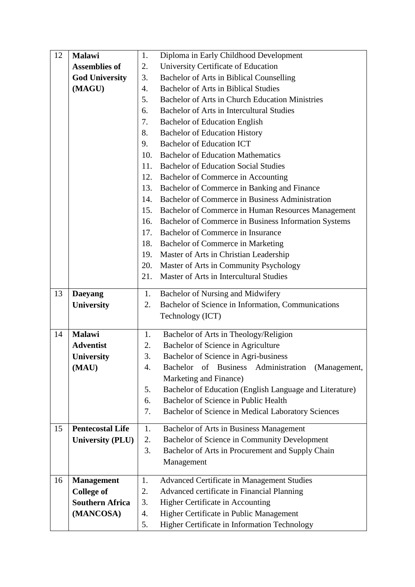| 12 | Malawi                  | 1.  | Diploma in Early Childhood Development                                     |
|----|-------------------------|-----|----------------------------------------------------------------------------|
|    | <b>Assemblies of</b>    | 2.  | University Certificate of Education                                        |
|    | <b>God University</b>   | 3.  | Bachelor of Arts in Biblical Counselling                                   |
|    | (MAGU)                  | 4.  | <b>Bachelor of Arts in Biblical Studies</b>                                |
|    |                         | 5.  | <b>Bachelor of Arts in Church Education Ministries</b>                     |
|    |                         | 6.  | Bachelor of Arts in Intercultural Studies                                  |
|    |                         | 7.  | <b>Bachelor of Education English</b>                                       |
|    |                         | 8.  | <b>Bachelor of Education History</b>                                       |
|    |                         | 9.  | <b>Bachelor of Education ICT</b>                                           |
|    |                         | 10. | <b>Bachelor of Education Mathematics</b>                                   |
|    |                         | 11. | <b>Bachelor of Education Social Studies</b>                                |
|    |                         | 12. | Bachelor of Commerce in Accounting                                         |
|    |                         | 13. | Bachelor of Commerce in Banking and Finance                                |
|    |                         | 14. | Bachelor of Commerce in Business Administration                            |
|    |                         | 15. | Bachelor of Commerce in Human Resources Management                         |
|    |                         | 16. | Bachelor of Commerce in Business Information Systems                       |
|    |                         | 17. | Bachelor of Commerce in Insurance                                          |
|    |                         | 18. | Bachelor of Commerce in Marketing                                          |
|    |                         | 19. | Master of Arts in Christian Leadership                                     |
|    |                         | 20. | Master of Arts in Community Psychology                                     |
|    |                         | 21. | Master of Arts in Intercultural Studies                                    |
| 13 | <b>Daeyang</b>          | 1.  | Bachelor of Nursing and Midwifery                                          |
|    | <b>University</b>       | 2.  | Bachelor of Science in Information, Communications                         |
|    |                         |     | Technology (ICT)                                                           |
|    |                         |     |                                                                            |
| 14 | <b>Malawi</b>           | 1.  | Bachelor of Arts in Theology/Religion                                      |
|    | <b>Adventist</b>        | 2.  | Bachelor of Science in Agriculture                                         |
|    | <b>University</b>       | 3.  | Bachelor of Science in Agri-business                                       |
|    | (MAU)                   | 4.  | <b>Bachelor</b><br><b>Business</b><br>Administration<br>(Management,<br>of |
|    |                         |     | Marketing and Finance)                                                     |
|    |                         | 5.  | Bachelor of Education (English Language and Literature)                    |
|    |                         | 6.  | Bachelor of Science in Public Health                                       |
|    |                         | 7.  | Bachelor of Science in Medical Laboratory Sciences                         |
| 15 | <b>Pentecostal Life</b> | 1.  | Bachelor of Arts in Business Management                                    |
|    | <b>University (PLU)</b> | 2.  | Bachelor of Science in Community Development                               |
|    |                         | 3.  | Bachelor of Arts in Procurement and Supply Chain                           |
|    |                         |     | Management                                                                 |
|    |                         |     |                                                                            |
| 16 | <b>Management</b>       | 1.  | Advanced Certificate in Management Studies                                 |
|    | <b>College of</b>       | 2.  | Advanced certificate in Financial Planning                                 |
|    | <b>Southern Africa</b>  | 3.  | Higher Certificate in Accounting                                           |
|    |                         | 4.  | Higher Certificate in Public Management                                    |
|    | (MANCOSA)               | 5.  | Higher Certificate in Information Technology                               |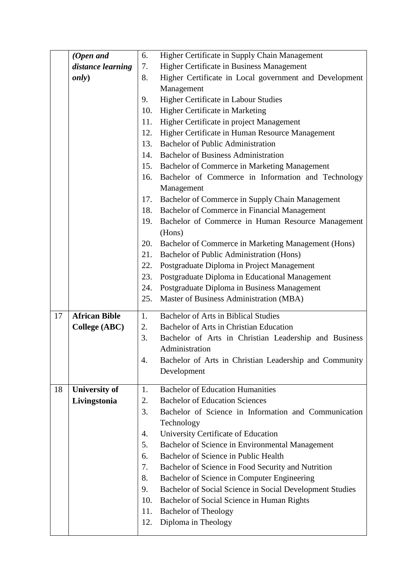|    | (Open and            | 6.  | Higher Certificate in Supply Chain Management            |
|----|----------------------|-----|----------------------------------------------------------|
|    | distance learning    | 7.  | Higher Certificate in Business Management                |
|    | <i>only</i> )        | 8.  | Higher Certificate in Local government and Development   |
|    |                      |     | Management                                               |
|    |                      | 9.  | Higher Certificate in Labour Studies                     |
|    |                      | 10. | Higher Certificate in Marketing                          |
|    |                      | 11. | Higher Certificate in project Management                 |
|    |                      | 12. | Higher Certificate in Human Resource Management          |
|    |                      | 13. | <b>Bachelor of Public Administration</b>                 |
|    |                      | 14. | <b>Bachelor of Business Administration</b>               |
|    |                      | 15. | Bachelor of Commerce in Marketing Management             |
|    |                      | 16. | Bachelor of Commerce in Information and Technology       |
|    |                      |     | Management                                               |
|    |                      | 17. | Bachelor of Commerce in Supply Chain Management          |
|    |                      | 18. | Bachelor of Commerce in Financial Management             |
|    |                      | 19. | Bachelor of Commerce in Human Resource Management        |
|    |                      |     | (Hons)                                                   |
|    |                      | 20. | Bachelor of Commerce in Marketing Management (Hons)      |
|    |                      | 21. | Bachelor of Public Administration (Hons)                 |
|    |                      | 22. | Postgraduate Diploma in Project Management               |
|    |                      | 23. | Postgraduate Diploma in Educational Management           |
|    |                      | 24. | Postgraduate Diploma in Business Management              |
|    |                      | 25. | Master of Business Administration (MBA)                  |
| 17 | <b>African Bible</b> | 1.  | <b>Bachelor of Arts in Biblical Studies</b>              |
|    | <b>College (ABC)</b> | 2.  | Bachelor of Arts in Christian Education                  |
|    |                      | 3.  | Bachelor of Arts in Christian Leadership and Business    |
|    |                      |     | Administration                                           |
|    |                      | 4   | Bachelor of Arts in Christian Leadership and Community   |
|    |                      |     | Development                                              |
|    |                      |     |                                                          |
| 18 | <b>University of</b> | 1.  | <b>Bachelor of Education Humanities</b>                  |
|    | Livingstonia         | 2.  | <b>Bachelor of Education Sciences</b>                    |
|    |                      | 3.  | Bachelor of Science in Information and Communication     |
|    |                      |     | Technology                                               |
|    |                      | 4.  | University Certificate of Education                      |
|    |                      | 5.  | Bachelor of Science in Environmental Management          |
|    |                      | 6.  | Bachelor of Science in Public Health                     |
|    |                      | 7.  | Bachelor of Science in Food Security and Nutrition       |
|    |                      | 8.  | Bachelor of Science in Computer Engineering              |
|    |                      | 9.  | Bachelor of Social Science in Social Development Studies |
|    |                      | 10. | Bachelor of Social Science in Human Rights               |
|    |                      | 11. | <b>Bachelor of Theology</b>                              |
|    |                      | 12. | Diploma in Theology                                      |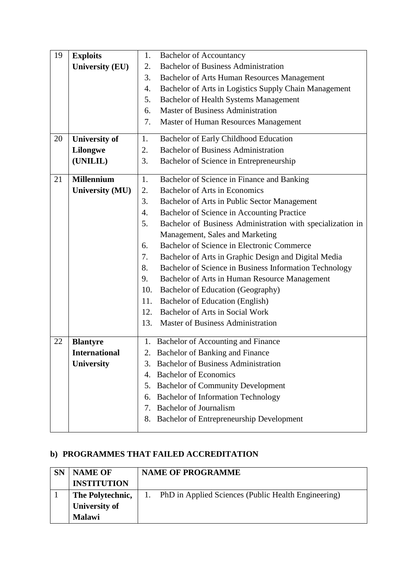| 19 | <b>Exploits</b>        | 1.  | <b>Bachelor of Accountancy</b>                             |
|----|------------------------|-----|------------------------------------------------------------|
|    | <b>University (EU)</b> | 2.  | <b>Bachelor of Business Administration</b>                 |
|    |                        | 3.  | <b>Bachelor of Arts Human Resources Management</b>         |
|    |                        | 4.  | Bachelor of Arts in Logistics Supply Chain Management      |
|    |                        | 5.  | <b>Bachelor of Health Systems Management</b>               |
|    |                        | 6.  | <b>Master of Business Administration</b>                   |
|    |                        | 7.  | Master of Human Resources Management                       |
| 20 | <b>University of</b>   | 1.  | Bachelor of Early Childhood Education                      |
|    | <b>Lilongwe</b>        | 2.  | <b>Bachelor of Business Administration</b>                 |
|    | (UNILIL)               | 3.  | Bachelor of Science in Entrepreneurship                    |
| 21 | <b>Millennium</b>      | 1.  | Bachelor of Science in Finance and Banking                 |
|    | <b>University (MU)</b> | 2.  | <b>Bachelor of Arts in Economics</b>                       |
|    |                        | 3.  | Bachelor of Arts in Public Sector Management               |
|    |                        | 4.  | Bachelor of Science in Accounting Practice                 |
|    |                        | 5.  | Bachelor of Business Administration with specialization in |
|    |                        |     | Management, Sales and Marketing                            |
|    |                        | 6.  | Bachelor of Science in Electronic Commerce                 |
|    |                        | 7.  | Bachelor of Arts in Graphic Design and Digital Media       |
|    |                        | 8.  | Bachelor of Science in Business Information Technology     |
|    |                        | 9.  | Bachelor of Arts in Human Resource Management              |
|    |                        | 10. | Bachelor of Education (Geography)                          |
|    |                        | 11. | Bachelor of Education (English)                            |
|    |                        | 12. | Bachelor of Arts in Social Work                            |
|    |                        | 13. | <b>Master of Business Administration</b>                   |
| 22 | <b>Blantyre</b>        | 1.  | Bachelor of Accounting and Finance                         |
|    | <b>International</b>   | 2.  | <b>Bachelor of Banking and Finance</b>                     |
|    | <b>University</b>      |     | <b>Bachelor of Business Administration</b>                 |
|    |                        | 4.  | <b>Bachelor of Economics</b>                               |
|    |                        | 5.  | <b>Bachelor of Community Development</b>                   |
|    |                        | 6.  | <b>Bachelor of Information Technology</b>                  |
|    |                        | 7.  | <b>Bachelor</b> of Journalism                              |
|    |                        | 8.  | <b>Bachelor of Entrepreneurship Development</b>            |

#### **b) PROGRAMMES THAT FAILED ACCREDITATION**

| <b>SN</b> | <b>NAME OF</b>     | <b>NAME OF PROGRAMME</b>                                  |  |  |
|-----------|--------------------|-----------------------------------------------------------|--|--|
|           | <b>INSTITUTION</b> |                                                           |  |  |
|           | The Polytechnic,   | PhD in Applied Sciences (Public Health Engineering)<br>Ι. |  |  |
|           | University of      |                                                           |  |  |
|           | <b>Malawi</b>      |                                                           |  |  |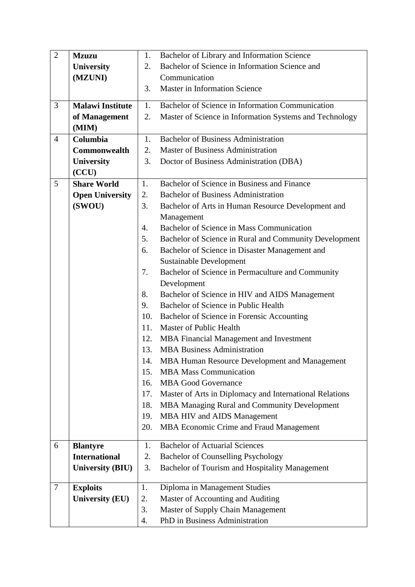| $\overline{2}$ | <b>Mzuzu</b>            | 1.  | Bachelor of Library and Information Science             |
|----------------|-------------------------|-----|---------------------------------------------------------|
|                | <b>University</b>       | 2.  | Bachelor of Science in Information Science and          |
|                | (MZUNI)                 |     | Communication                                           |
|                |                         | 3.  | Master in Information Science                           |
| 3              | <b>Malawi Institute</b> |     | Bachelor of Science in Information Communication        |
|                |                         | 1.  |                                                         |
|                | of Management           | 2.  | Master of Science in Information Systems and Technology |
|                | (MIM)                   | 1.  | <b>Bachelor of Business Administration</b>              |
| $\overline{4}$ | Columbia                |     |                                                         |
|                | Commonwealth            | 2.  | <b>Master of Business Administration</b>                |
|                | <b>University</b>       | 3.  | Doctor of Business Administration (DBA)                 |
|                | (CCU)                   |     |                                                         |
| 5              | <b>Share World</b>      | 1.  | Bachelor of Science in Business and Finance             |
|                | <b>Open University</b>  | 2.  | <b>Bachelor of Business Administration</b>              |
|                | (SWOU)                  | 3.  | Bachelor of Arts in Human Resource Development and      |
|                |                         |     | Management                                              |
|                |                         | 4.  | Bachelor of Science in Mass Communication               |
|                |                         | 5.  | Bachelor of Science in Rural and Community Development  |
|                |                         | 6.  | Bachelor of Science in Disaster Management and          |
|                |                         |     | <b>Sustainable Development</b>                          |
|                |                         | 7.  | Bachelor of Science in Permaculture and Community       |
|                |                         |     | Development                                             |
|                |                         | 8.  | Bachelor of Science in HIV and AIDS Management          |
|                |                         | 9.  | Bachelor of Science in Public Health                    |
|                |                         | 10. | Bachelor of Science in Forensic Accounting              |
|                |                         | 11. | Master of Public Health                                 |
|                |                         | 12. | MBA Financial Management and Investment                 |
|                |                         | 13. | <b>MBA Business Administration</b>                      |
|                |                         | 14. | MBA Human Resource Development and Management           |
|                |                         | 15. | <b>MBA Mass Communication</b>                           |
|                |                         | 16. | <b>MBA Good Governance</b>                              |
|                |                         | 17. | Master of Arts in Diplomacy and International Relations |
|                |                         | 18. | MBA Managing Rural and Community Development            |
|                |                         | 19. | MBA HIV and AIDS Management                             |
|                |                         | 20. | MBA Economic Crime and Fraud Management                 |
| 6              | <b>Blantyre</b>         | 1.  | <b>Bachelor of Actuarial Sciences</b>                   |
|                | <b>International</b>    | 2.  | <b>Bachelor of Counselling Psychology</b>               |
|                | <b>University (BIU)</b> | 3.  | Bachelor of Tourism and Hospitality Management          |
|                |                         |     |                                                         |
| $\tau$         | <b>Exploits</b>         | 1.  | Diploma in Management Studies                           |
|                | <b>University (EU)</b>  | 2.  | Master of Accounting and Auditing                       |
|                |                         | 3.  | Master of Supply Chain Management                       |
|                |                         | 4.  | PhD in Business Administration                          |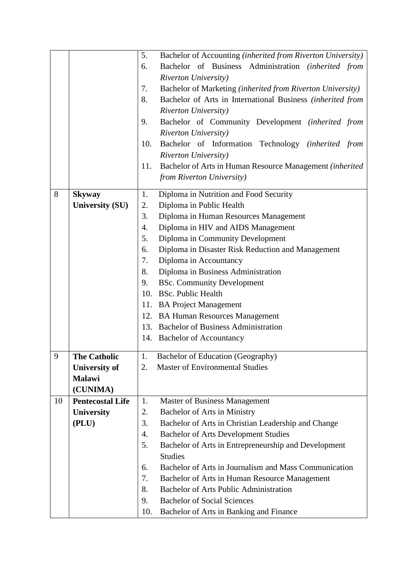|    |                         | 5.  | Bachelor of Accounting (inherited from Riverton University) |
|----|-------------------------|-----|-------------------------------------------------------------|
|    |                         | 6.  | Bachelor of Business<br>Administration (inherited from      |
|    |                         |     | <b>Riverton University</b> )                                |
|    |                         | 7.  | Bachelor of Marketing (inherited from Riverton University)  |
|    |                         | 8.  | Bachelor of Arts in International Business (inherited from  |
|    |                         |     | <b>Riverton University</b> )                                |
|    |                         | 9.  | Bachelor of Community Development (inherited from           |
|    |                         |     | <b>Riverton University</b> )                                |
|    |                         | 10. | Bachelor of Information Technology (inherited from          |
|    |                         |     | <b>Riverton University</b> )                                |
|    |                         | 11. | Bachelor of Arts in Human Resource Management (inherited    |
|    |                         |     | from Riverton University)                                   |
| 8  | <b>Skyway</b>           | 1.  | Diploma in Nutrition and Food Security                      |
|    | <b>University (SU)</b>  | 2.  | Diploma in Public Health                                    |
|    |                         | 3.  | Diploma in Human Resources Management                       |
|    |                         | 4.  | Diploma in HIV and AIDS Management                          |
|    |                         | 5.  | Diploma in Community Development                            |
|    |                         | 6.  | Diploma in Disaster Risk Reduction and Management           |
|    |                         | 7.  | Diploma in Accountancy                                      |
|    |                         | 8.  | Diploma in Business Administration                          |
|    |                         | 9.  | <b>BSc. Community Development</b>                           |
|    |                         |     | 10. BSc. Public Health                                      |
|    |                         |     | 11. BA Project Management                                   |
|    |                         |     | 12. BA Human Resources Management                           |
|    |                         |     | 13. Bachelor of Business Administration                     |
|    |                         |     | 14. Bachelor of Accountancy                                 |
| 9  | <b>The Catholic</b>     | 1.  | Bachelor of Education (Geography)                           |
|    | <b>University of</b>    | 2.  | <b>Master of Environmental Studies</b>                      |
|    | Malawi                  |     |                                                             |
|    | (CUNIMA)                |     |                                                             |
| 10 | <b>Pentecostal Life</b> | 1.  | <b>Master of Business Management</b>                        |
|    | University              | 2.  | Bachelor of Arts in Ministry                                |
|    | (PLU)                   | 3.  | Bachelor of Arts in Christian Leadership and Change         |
|    |                         | 4.  | <b>Bachelor of Arts Development Studies</b>                 |
|    |                         | 5.  | Bachelor of Arts in Entrepreneurship and Development        |
|    |                         |     | <b>Studies</b>                                              |
|    |                         | 6.  | Bachelor of Arts in Journalism and Mass Communication       |
|    |                         | 7.  | Bachelor of Arts in Human Resource Management               |
|    |                         | 8.  | <b>Bachelor of Arts Public Administration</b>               |
|    |                         | 9.  | <b>Bachelor of Social Sciences</b>                          |
|    |                         | 10. | Bachelor of Arts in Banking and Finance                     |